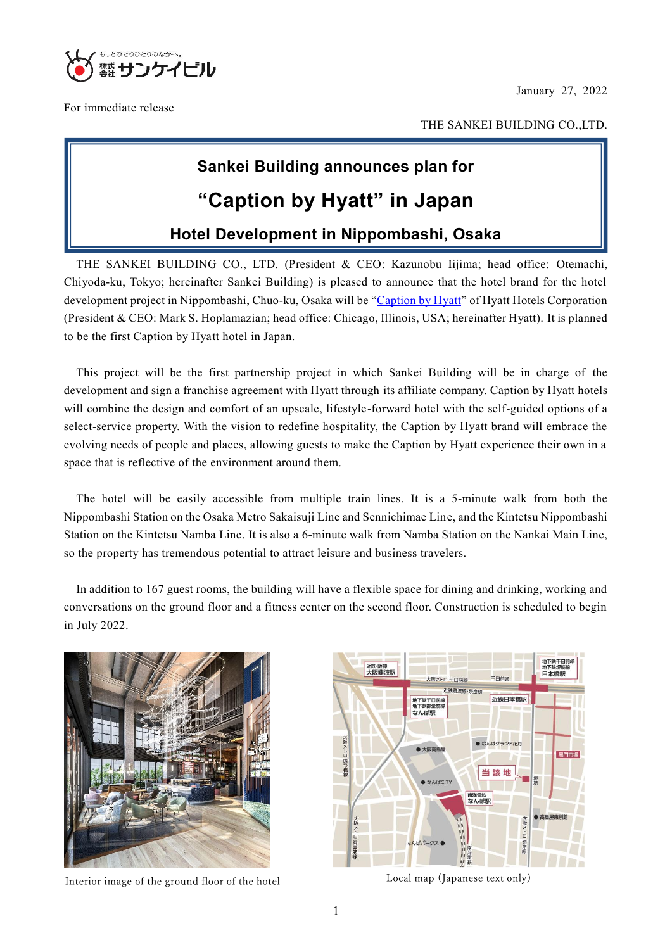January 27, 2022



For immediate release

 $\mathbf{u}$ 

THE SANKEI BUILDING CO.,LTD.

# **Sankei Building announces plan for**

## **"Caption by Hyatt" in Japan**

## **Hotel Development in Nippombashi, Osaka**

THE SANKEI BUILDING CO., LTD. (President & CEO: Kazunobu Iijima; head office: Otemachi, Chiyoda-ku, Tokyo; hereinafter Sankei Building) is pleased to announce that the hotel brand for the hotel development project in Nippombashi, Chuo-ku, Osaka will be ["Caption by Hyatt"](https://www.hyatt.com/ja-JP/brands/caption-by-hyatt) of Hyatt Hotels Corporation (President & CEO: Mark S. Hoplamazian; head office: Chicago, Illinois, USA; hereinafter Hyatt). It is planned to be the first Caption by Hyatt hotel in Japan.

This project will be the first partnership project in which Sankei Building will be in charge of the development and sign a franchise agreement with Hyatt through its affiliate company. [Caption by Hyatt](https://www.hyatt.com/en-US/brands/caption-by-hyatt) hotels will combine the design and comfort of an upscale, lifestyle-forward hotel with the self-guided options of a select-service property. With the vision to redefine hospitality, the Caption by Hyatt brand will embrace the evolving needs of people and places, allowing guests to make the Caption by Hyatt experience their own in a space that is reflective of the environment around them.

The hotel will be easily accessible from multiple train lines. It is a 5-minute walk from both the Nippombashi Station on the Osaka Metro Sakaisuji Line and Sennichimae Line, and the Kintetsu Nippombashi Station on the Kintetsu Namba Line. It is also a 6-minute walk from Namba Station on the Nankai Main Line, so the property has tremendous potential to attract leisure and business travelers.

In addition to 167 guest rooms, the building will have a flexible space for dining and drinking, working and conversations on the ground floor and a fitness center on the second floor. Construction is scheduled to begin in July 2022.



Interior image of the ground floor of the hotel Local map (Japanese text only)